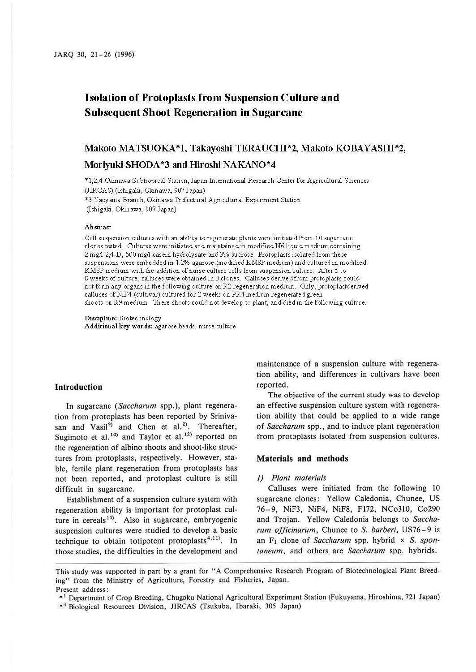# **Isolation of Protoplasts from Suspension Culture and Subsequent Shoot Regeneration in Sugarcane**

## **Makoto MATSUOKA\*l, Takayoshi TERAUCHI\*2, Makoto KOBAYASHI\*2,**

## **Moriyuki SHODA \*3 and Hiroshi NAKAN0\*4**

'"1,2,4 Okinawa Subtropical Station, Japan International Research Center for Agricultural Sciences (JIRCAS) (Ishigaki, Okinawa, 907 Japan)

'"3 Yaeyarna Branch, Okinawa Prefectural Agricultural Experiment Station (Ishigaki, Okinawa, 907 Japan)

#### **Abstract**

Cell suspension cultures with an ability to regenerate plants were initiated from IO sugarcane clones tested. Cultures were initiated and maintained in modified N6 liquid medium containing 2 mg/l 2,4-D, 500 mg/l casein hydrolysate and 3% sucrose. Protoplasts isolated from these suspensions were embedded in 1.2% agarose (modified KM8P medium) and cultured in modified KM8P medium with the addition of nurse culture cells from suspension culture. After 5 to 8 weeks of culture, calluses were obtained in 5 clones. Calluses derived from protoplasts could not form any organs in the following culture on R2 regeneration medium. Only, protoplastderived calluses of NiF4 (cultivar) cultured for 2 weeks on PR4 medium regenerated green shoots on R9 medium. There shoots could not develop to plant, and died in the following culture.

**Discipline:** Biotechnology **Additional key words:** agarose beads, nurse culture

## **Introduction**

In sugarcane *(Saccharum* spp.), plant regeneration from protoplasts has been reported by Srinivasan and Vasil<sup>9)</sup> and Chen et al.<sup>2)</sup>. Thereafter, Sugimoto et al.<sup>10)</sup> and Taylor et al.<sup>12)</sup> reported on the regeneration of albino shoots and shoot-like structures from protoplasts, respectively. However, stable, fertile plant regeneration from protoplasts has not been reported, and protoplast culture is still difficult in sugarcane.

Establishment of a suspension culture system with regeneration ability is important for protoplast culture in cereals<sup>14)</sup>. Also in sugarcane, embryogenic suspension cultures were studied to develop a basic technique to obtain totipotent protoplasts<sup>4,11)</sup>. In those studies, the difficulties in the development and

maintenance of a suspension culture with regeneration ability, and differences in cultivars have been reported.

The objective of the current study was to develop an effective suspension culture system with regeneration ability that could be applied to a wide range of *Saccharum* spp., and to induce plant regeneration from protoplasts isolated from suspension cultures.

### **Materials and methods**

#### J) *Plant materials*

Calluses were initiated from the following 10 sugarcane clones: Yellow Caledonia, Chunee, US 76 - 9, NiF3, NiF4, NiF8, Fl72, NCo310, Co290 and Trojan. Yellow Caledonia belongs to *Saccharum officinarum,* Chunee to *S. barberi,* US76-9 is an F1 clone of *Saccharum* spp. hybrid x S. *spontaneum,* and others are *Saccharum* spp. hybrids.

This study was supported in part by a grant for "A Comprehensive Research Program of Biotechnological Plant Breeding" from the Ministry of Agriculture, Forestry and Fisheries, Japan. Present address:

<sup>\*</sup> 1 Department of Crop Breeding, Chugoku National Agricultural Experiment Station (Fukuyama, Hiroshima, 721 Japan)

<sup>\*4</sup> Biological Resources Division, JIRCAS (Tsukuba, Ibaraki, 305 Japan)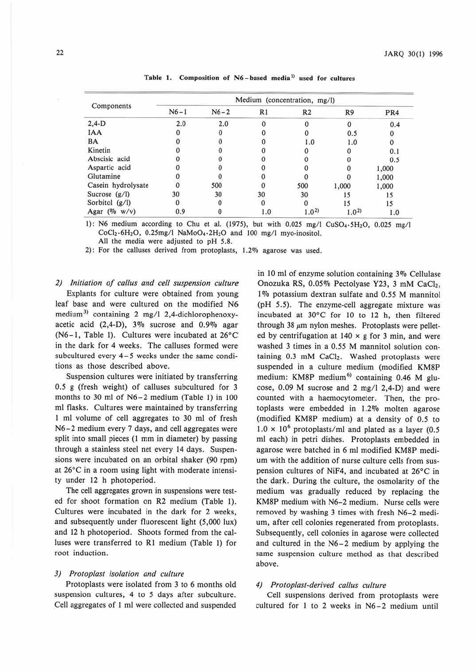|                    | Medium (concentration, mg/l) |          |     |                |           |       |
|--------------------|------------------------------|----------|-----|----------------|-----------|-------|
| Components         | $N6 - 1$                     | $N6 - 2$ | R1  | R <sub>2</sub> | R9        | PR4   |
| $2,4-D$            | 2.0                          | 2.0      |     |                | 0         | 0.4   |
| <b>IAA</b>         |                              |          |     |                | 0.5       |       |
| <b>BA</b>          |                              |          |     | 1.0            | 1.0       |       |
| Kinetin            |                              |          |     |                |           | 0.1   |
| Abscisic acid      |                              |          |     |                |           | 0.5   |
| Aspartic acid      |                              |          |     |                |           | 1,000 |
| Glutamine          |                              |          |     |                |           | 1,000 |
| Casein hydrolysate |                              | 500      |     | 500            | 1,000     | 1,000 |
| Sucrose $(g/l)$    | 30                           | 30       | 30  | 30             |           |       |
| Sorbitol (g/l)     |                              |          |     |                | 15        |       |
| Agar (% $w/v$ )    | 0.9                          |          | 1.0 | $1.0^{2}$      | $1.0^{2}$ | 1.0   |

Table 1. Composition of N6-based media<sup>1)</sup> used for cultures

1): N6 medium according to Chu et al. (1975), but with  $0.025 \text{ mg/l}$  CuSO<sub>4</sub>, 5H<sub>2</sub>O, 0.025 mg/l  $CoCl<sub>2</sub>·6H<sub>2</sub>O$ , 0.25mg/l NaMoO<sub>4</sub>·2H<sub>2</sub>O and 100 mg/l myo-inositol. All the media were adjusted to pH 5.8.

2): For the calluses derived from protoplasts, 1.2% agarose was used.

*2) Initiation of callus and cell suspension culture*  Explants for culture were obtained from young leaf base and were cultured on the modified N6 medium<sup>3)</sup> containing 2 mg/l 2,4-dichlorophenoxyacetic acid (2,4-D), 3% sucrose and 0.9% agar (N6- l, Table I). Cultures were incubated at 26°C in the dark for 4 weeks. The calluses formed were subcultured every 4-5 weeks under the same conditions as those described above.

Suspension cultures were initiated by transferring 0.5 g (fresh weight) of calluses subcultured for 3 months to 30 ml of N6-2 medium (Table 1) in JOO ml flasks. Cultures were maintained by transferring I ml volume of cell aggregates to 30 ml of fresh N6-2 medium every 7 days, and cell aggregates were split into small pieces (I mm in diameter) by passing through a stainless steel net every 14 days. Suspensions were incubated on an orbital shaker (90 rpm) at 26°C in a room using light with moderate intensity under 12 h photoperiod.

The cell aggregates grown in suspensions were tested for shoot formation on R2 medium (Table I). Cultures were incubated in the dark for 2 weeks, and subsequently under fluorescent light (5,000 lux) and 12 h photoperiod. Shoots formed from the calluses were transferred to RI medium (Table 1) for root induction.

#### *3) Protoplasl isolation and culture*

Protoplasts were isolated from 3 to 6 months old suspension cultures, 4 to 5 days after subculture. Cell aggregates of I ml were collected and suspended

in 10 ml of enzyme solution containing 3% Cellulase Onozuka RS, 0.05% Pectolyase Y23, 3 mM CaCl2, 1% potassium dextran sulfate and 0.55 M mannitol (pH *5.5).* The enzyme-cell aggregate mixture was incubated at 30°C for JO to 12 h, then filtered through 38  $\mu$ m nylon meshes. Protoplasts were pelleted by centrifugation at  $140 \times g$  for 3 min, and were washed 3 times in a *0.55* M mannitol solution containing  $0.3$  mM CaCl<sub>2</sub>. Washed protoplasts were suspended in a culture medium (modified KM8P medium: KM8P medium<sup>6)</sup> containing 0.46 M glucose, 0.09 M sucrose and 2 mg/I 2,4-D) and were counted witb a haemocytometer. Then, the protoplasts were embedded in 1.2% molten agarose (modified **KM8P** medium) at a density of 0.5 to  $1.0 \times 10^6$  protoplasts/ml and plated as a layer (0.5) ml each) in petri dishes. Protoplasts embedded in agarose were batched in 6 ml modified **KM8P** medium with the addition of nurse culture cells from suspension cultures of NiF4, and incubated at 26°C in the dark. During the culture, the osmolarity of the medium was gradually reduced by replacing the KM8P medium with N6-2 medium. Nurse cells were removed by washing 3 times with fresh N6-2 medium, after cell colonies regenerated from protoplasts. Subsequently, cell colonies in agarose were collected and cultured in the N6-2 medium by applying the same suspension culture method as that described above.

#### *4) Protoplast-derived callus culture*

Cell suspensions derived from protoplasts were cultured for I to 2 weeks in N6-2 medium until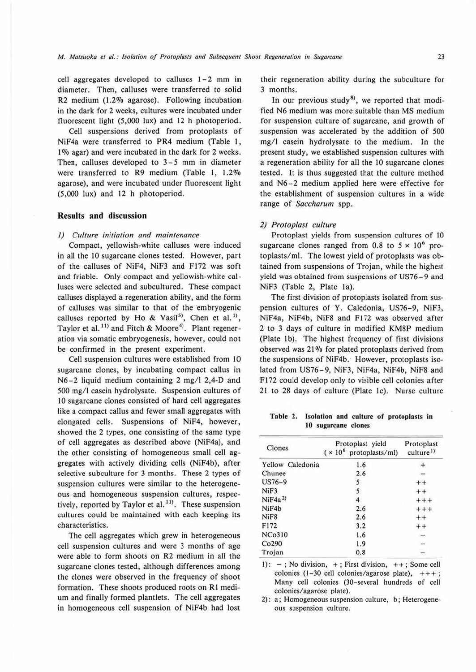cell aggregates developed to calluses  $1-2$  mm in diameter. Then, calluses were transferred to solid R2 medium (1.2% agarose). Following incubation in the dark for 2 weeks, cultures were incubated under fluorescent light (5,000 lux) and 12 h photoperiod.

Cell suspensions derived from protoplasts of NiF4a were transferred to PR4 medium (Table I, 1% agar) and were incubated in the dark for 2 weeks. Then, calluses developed to 3-5 mm in diameter were transferred to R9 medium (Table 1,  $1.2\%$ agarose), and were incubated under fluorescent light  $(5,000 \text{lux})$  and  $12 \text{ h}$  photoperiod.

#### **Results and discussion**

#### *I) Culture initiation and maintenance*

Compact, yellowish-white calluses were induced in all the 10 sugarcane clones tested. However, part of the calluses of NiF4, NiF3 and Fl72 was soft and friable. Only compact and yellowish-white calluses were selected and subcultured. These compact calluses displayed a regeneration ability, and the form of calluses was similar to that of the embryogenic calluses reported by Ho & Vasil<sup>5)</sup>, Chen et al.<sup>1)</sup>, Taylor et al.<sup>11)</sup> and Fitch & Moore<sup>4)</sup>. Plant regeneration via somatic embryogenesis, however, could not be confirmed in the present experiment.

Cell suspension cultures were established from 10 sugarcane clones, by incubating compact callus in N6-2 liquid medium containing 2 mg/l 2,4-D and 500 mg/I casein hydrolysate. Suspension cultures of 10 sugarcane clones consisted of hard cell aggregates like a compact callus and fewer small aggregates with elongated cells. Suspensions of NiF4, however, showed the 2 types, one consisting of the same type of cell aggregates as described above (NiF4a), and the other consisting of homogeneous small cell **ag-** gregates with actively dividing cells (NiF4b), after selective subculture for 3 months. These 2 types of suspension cultures were similar to the heterogeneous and homogeneous suspension cultures, respectively, reported by Taylor et al.<sup>11)</sup>. These suspension cultures could be maintained with each keeping its characteristics.

The cell aggregates which grew in heterogeneous cell suspension cultures and were 3 months of age were able to form shoots on R2 medium in all the sugarcane clones tested, although differences among the clones were observed in the frequency of shoot formation. These shoots produced roots on RI medium and finally formed plantlets. The cell aggregates in homogeneous cell suspension of NiF4b had lost their regeneration ability during the subculture for 3 months.

In our previous study<sup>8</sup>, we reported that modified N6 medium was more suitable than MS medium for suspension culture of sugarcane, and growth of suspension was accelerated by the addition of 500 mg/I casein hydrolysate to the medium. In the present study, we established suspension cultures with a regeneration ability for all the 10 sugarcane clones tested. It is thus suggested that the culture method and N6-2 medium applied here were effective for the establishment of suspension cultures in a wide range of *Saccharum* spp.

#### *2) Protoplast culture*

Protoplast yields from suspension cultures of 10 sugarcane clones ranged from 0.8 to  $5 \times 10^6$  protoplasts/ml. The lowest yield of protoplasts was obtained from suspensions of Trojan, while the highest yield was obtained from suspensions of US76-9 and NiF3 (Table 2, Plate la).

The first division of protoplasts isolated from suspension cultures of Y. Caledonia, US76-9, NiF3, NiF4a, NiF4b, NiF8 and F172 was observed after 2 to 3 days of culture in modified KM8P medium (Plate lb). The highest frequency of first divisions observed was 21% for plated protoplasts derived from the suspensions of NiF4b. However, protoplasts isolated from US76-9, NiF3, NiF4a, NiF4b, NiF8 and Fl 72 could develop only to visible cell colonies after 21 to 28 days of culture (Plate le). Nurse culture

Table 2. Isolation and culture of protoplasts in 10 sugarcane clones

| Clones             | Protoplast yield<br>$(x 10^6$ protoplasts/ml) | Protoplast<br>culture <sup>1)</sup> |  |
|--------------------|-----------------------------------------------|-------------------------------------|--|
| Yellow Caledonia   | 1.6                                           |                                     |  |
| Chunee             | 2.6                                           |                                     |  |
| $US76-9$           | 5                                             |                                     |  |
| NiF3               |                                               |                                     |  |
| NiF4a <sup>2</sup> |                                               |                                     |  |
| NiF4b              | 2.6                                           |                                     |  |
| NiF <sub>8</sub>   | 2.6                                           |                                     |  |
| F172               | 3.2                                           |                                     |  |
| <b>NCo310</b>      | 1.6                                           |                                     |  |
| Co290              | 1.9                                           |                                     |  |
| Trojan             | 0.8                                           |                                     |  |

1):  $-$ ; No division,  $+$ ; First division,  $++$ ; Some cell colonies (1-30 cell colonies/agarose plate),  $++$ ; Many cell colonies (30-several hundreds of cell colonies/ agarose plate).

2): a; Homogeneous suspension culture, b ; Heterogeneous suspension culture.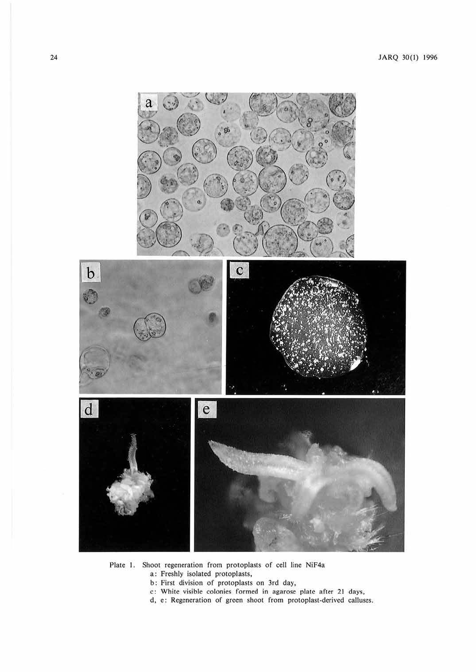

Plate 1. Shoot regeneration from protoplasts of cell line NiF4a

- a: Freshly isolated protoplasts,
- b: First division of protoplasts on 3rd day,
- c: White visible colonies formed in agarose plate after 21 days,
- d. e: Regeneration of green shoot from protoplast-derived calluses.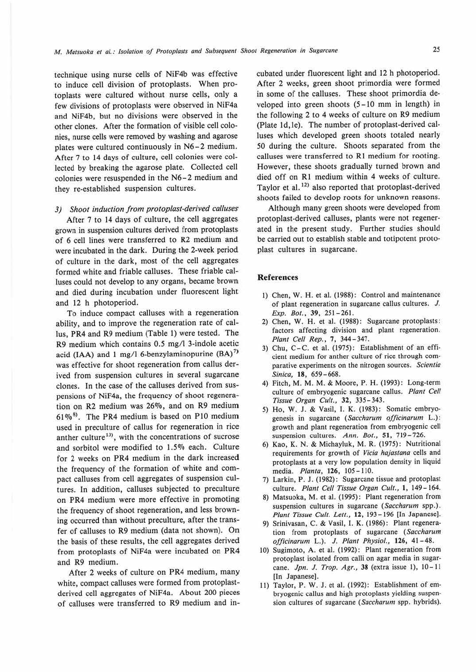technique using nurse cells of NiF4b was effective to induce cell division of protoplasts. When protoplasts were cultured without nurse cells, only a few divisions of protoplasts were observed in NiF4a and NiF4b, but no divisions were observed in the other clones. After the formation of visible cell colonies, nurse cells were removed by washing and agarose plates were cultured continuously in N6-2 medium. After 7 to 14 days of culture, cell colonies were collected by breaking the agarose plate. Collected cell colonies were resuspended in the N6-2 medium and they re-established suspension cultures.

#### *3) Shoot induction from protoplast-derived calluses*

After 7 to 14 days of culture, the cell aggregates grown in suspension cultures derived from protoplasts. of 6 cell lines were transferred to R2 medium and. were incubated in the dark. During the 2-week period of culture in the dark, most of the cell aggregates formed white and friable calluses. These friable calluses could not develop to any organs, became brown and died during incubation under fluorescent light and 12 h photoperiod.

To induce compact calluses with a regeneration ability, and to improve the regeneration rate of callus, PR4 and R9 medium (Table I) were tested. The R9 medium which contains 0.5 mg/I 3-indole acetic acid **(IAA)** and 1 mg/I 6-benzylaminopurine **(BA)** <sup>7</sup> ) was effective for shoot regeneration from callus derived from suspension cultures in several sugarcane clones. In the case of the calluses derived from suspensions of NiF4a, the frequency of shoot regeneration on R2 medium was 26%, and on R9 medium  $61\%$ <sup>8)</sup>. The PR4 medium is based on P10 medium used in preculture of callus for regeneration in rice anther culture<sup>13)</sup>, with the concentrations of sucrose and sorbitol were modified to 1.5% each. Culture for 2 weeks on PR4 medium in the dark increased the frequency of the formation of white and compact calluses from cell aggregates of suspension cultures. In addition, calluses subjected to preculture on PR4 medium were more effective in promoting the frequency of shoot regeneration, and less browning occurred than without preculture, after the transfer of calluses to R9 medium (data not shown). On the basis of these results, the cell aggregates derived from protoplasts of NiF4a were incubated on PR4 and R9 medium.

After 2 weeks of culture on PR4 medium, many white, compact calluses were formed from protoplastderived cell aggregates of NiF4a. About 200 pieces of calluses were transferred to R9 medium and incubated under fluorescent light and 12 h photoperiod. After 2 weeks, green shoot primordia were formed in some of the calluses. These shoot primordia developed into green shoots (5 - 10 mm in length) in the following 2 to 4 weeks of culture on R9 medium (Plate ld,le). The number of protoplast-derived calluses which developed green shoots totaled nearly 50 during the culture. Shoots separated from the calluses were transferred to RI medium for rooting. However, these shoots gradually turned brown and died off on RI medium within 4 weeks of culture. Taylor et al.<sup>12)</sup> also reported that protoplast-derived shoots failed to develop roots for unknown reasons.

Although many green shoots were developed from protoplast-derived calluses, plants were not regenerated in the present study. Further studies should be carried out to establish stable and totipotent protoplast cultures in sugarcane.

#### **References**

- 1) Chen, W. H. et al. (1988): Comrol and maintenance of plant regeneration in sugarcane callus cultures. J. *Exp. 801.,* **39,** 251-261.
- 2) Chen, W. H. et al. (1988): Sugarcane protoplasts: factors affecting division and plant regeneration. *Plant Cell Rep.,* 7, 344- 347.
- 3) Chu, C-C. et al. (1975): Establishment of an efficient medium for anther culture of rice through comparative experiments on the nitrogen sources. Scientia *Sinica,* **18,** 659-668.
- 4) Fitch, M. M. M. & Moore, P. H. (1993): Long-term culture of embryogenic sugarcane callus. *Plant Cell Tissue Organ Cult.,* **32,** 335-343.
- 5) Ho, W. J. & Vasil, I. K. (1983): Somatic embryogenesis in sugarcane ( *Saccharum officinarum* L.): growth and plant regeneration from embryogenic cell suspension cultures. *Ann. Bot.,* **51,** 719-726.
- 6) Kao, **K. N.** & Michayluk, **M. R.** (1975) : Nutritional requirements for growth of *Vicio hajastana* cells and protoplasts at a very low population density in liquid media. *Planta,* **126,** 105-110.
- 7) Larkin, P. J. (1982): Sugarcane tissue and protoplast culture. *Plant Cell Tissue Organ Cult.,* **1,** 149- 164.
- 8) Matsuoka, M. et al. (1995): Plant regeneration from suspension cultures in sugarcane ( *Saccharum* spp.). *Plant Tissue Cult. Lett.,* **12,** 193-196 [In Japanese].
- 9) Srinivasan, C. & Vasil, I. **K.** (1986): Plant regeneration from protoplasts of sugarcane ( *Saccharum officinarum* L.). *J. Plant Physiol., 116,* 41-48.
- 10) Sugimoto, A. et al. (1992): Plant regeneration from protoplast isolated from calli on agar media in sugarcane. *Jpn. J. Trop. Agr.,* **38** (extra issue t), 10- 11 [In Japanese].
- 11) Taylor, P. W. J. et al. (1992): Establishment of embryogenic callus and high protoplasts yielding suspension cultures of sugarcane *(Saccharum* spp. hybrids).